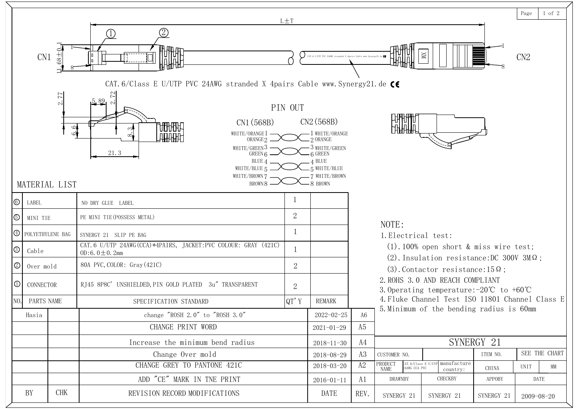|                            |                                                |                                                                                                                                                                                              | $L \pm T$      |                                                                                                                                   |                |                                                                |                                                                                                             |            | Page        | 1 of 2        |
|----------------------------|------------------------------------------------|----------------------------------------------------------------------------------------------------------------------------------------------------------------------------------------------|----------------|-----------------------------------------------------------------------------------------------------------------------------------|----------------|----------------------------------------------------------------|-------------------------------------------------------------------------------------------------------------|------------|-------------|---------------|
|                            | $^{+84}$<br>CN <sub>1</sub>                    | <b>ATHAT</b><br>Hallah                                                                                                                                                                       |                | CAT. 6 U/UTP PVC 24AWG stranded X 4pairs Cable www. Synergy21.                                                                    |                |                                                                | $\mathbbm{N}$                                                                                               |            | CN2         |               |
|                            |                                                | CAT. 6/Class E U/UTP PVC 24AWG stranded X 4pairs Cable www. Synergy21. de $\textsf{C}\textsf{E}$                                                                                             |                |                                                                                                                                   |                |                                                                |                                                                                                             |            |             |               |
|                            | 77<br>$\sim$<br>$\circ$<br>اث<br>MATERIAL LIST | $5.89$ $\sim$<br>CN1 (568B)<br><b>HINHINT</b><br>WHITE/ORANGE 1<br>珊瑚<br>ORANGE <sub>2</sub><br>WHITE/GREEN3<br>21.3<br>GREEN 6<br>BLUE 4<br>WHITE/BLUE 5<br>WHITE/BROWN 7<br><b>BROWN 8</b> | PIN OUT        | CN2(568B)<br>WHITE/ORANGE<br>2 ORANGE<br>3 WHITE/GREEN<br>$\kappa$ GREEN<br><b>BLUE</b><br>5 WHITE/BLUE<br>WHITE/BROWN<br>8 BROWN |                |                                                                |                                                                                                             |            |             |               |
| $ \circledcirc$<br>LABEL   |                                                |                                                                                                                                                                                              |                |                                                                                                                                   |                |                                                                |                                                                                                             |            |             |               |
|                            |                                                | NO DRY GLUE LABEL<br>PE MINI TIE (POSSESS METAL)                                                                                                                                             | $\overline{2}$ |                                                                                                                                   |                |                                                                |                                                                                                             |            |             |               |
| $\circledcirc$<br>MINI TIE |                                                |                                                                                                                                                                                              |                |                                                                                                                                   |                | NOTE:                                                          |                                                                                                             |            |             |               |
|                            | $\Theta$ POLYETHYLENE BAG                      | SYNERGY 21 SLIP PE BAG<br>CAT. 6 U/UTP 24AWG (CCA)*4PAIRS, JACKET: PVC COLOUR: GRAY (421C)                                                                                                   |                |                                                                                                                                   |                | 1. Electrical test:                                            |                                                                                                             |            |             |               |
| $\circledS$<br>Cable       |                                                | OD:6.0 $\pm$ 0.2mm                                                                                                                                                                           |                |                                                                                                                                   |                |                                                                | $(1).100\%$ open short & miss wire test;<br>(2). Insulation resistance: DC 300V 3M $\Omega$ ;               |            |             |               |
| $\circledS$                | Over mold                                      | 80A PVC, COLOR: Gray (421C)                                                                                                                                                                  | $\overline{2}$ |                                                                                                                                   |                |                                                                | (3). Contactor resistance: $15\Omega$ ;                                                                     |            |             |               |
| $\mathbb O$                | CONNECTOR                                      | RJ45 8P8C' UNSHIELDED, PIN GOLD PLATED 3u" TRANSPARENT                                                                                                                                       | $\mathbf{2}$   |                                                                                                                                   |                |                                                                | 2. ROHS 3.0 AND REACH COMPLIANT<br>3.0 perating temperature: $-20^{\circ}\text{C}$ to $+60^{\circ}\text{C}$ |            |             |               |
| NO.                        | PARTS NAME                                     | SPECIFICATION STANDARD                                                                                                                                                                       | QT'Y           | <b>REMARK</b>                                                                                                                     |                |                                                                | 4. Fluke Channel Test ISO 11801 Channel Class E                                                             |            |             |               |
| Hasia                      |                                                | change $"ROSH 2.0"$ to $"ROSH 3.0"$                                                                                                                                                          |                | $2022 - 02 - 25$                                                                                                                  | A6             |                                                                | 5. Minimum of the bending radius is 60mm                                                                    |            |             |               |
|                            |                                                | CHANGE PRINT WORD                                                                                                                                                                            |                | $2021 - 01 - 29$                                                                                                                  | A <sub>5</sub> |                                                                |                                                                                                             |            |             |               |
|                            |                                                | Increase the minimum bend radius                                                                                                                                                             |                | $2018 - 11 - 30$                                                                                                                  | A4             |                                                                |                                                                                                             | SYNERGY 21 |             |               |
|                            |                                                | Change Over mold                                                                                                                                                                             |                | 2018-08-29                                                                                                                        | A3             | CUSTOMER NO.                                                   |                                                                                                             | ITEM NO.   |             | SEE THE CHART |
|                            |                                                | CHANGE GREY TO PANTONE 421C                                                                                                                                                                  |                | 2018-03-20                                                                                                                        | A2             | PRODUCT<br>CAT. 6/Class E U/UT<br>24AWG CCA PVC<br><b>NAME</b> | manufacture<br>country:                                                                                     | CHINA      | <b>UNIT</b> | <b>MM</b>     |
|                            |                                                | ADD "CE" MARK IN TNE PRINT                                                                                                                                                                   |                | $2016 - 01 - 11$                                                                                                                  | A1             | DRAWNBY                                                        | CHECKBY                                                                                                     | APPOBY     | DATE        |               |
| BY                         | <b>CHK</b>                                     | REVISION RECORD MODIFICATIONS                                                                                                                                                                |                | DATE                                                                                                                              | REV.           | SYNERGY 21                                                     | SYNERGY 21                                                                                                  | SYNERGY 21 | 2009-08-20  |               |